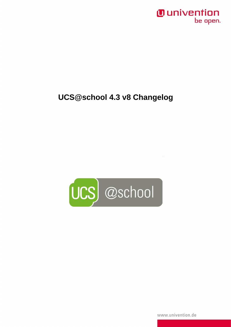### *Ounivention* be open.

## UCS@school 4.3 v8 Changelog



www.univention.de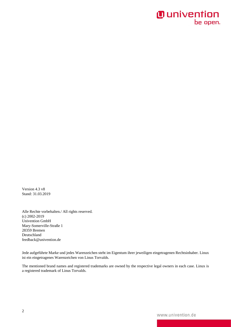## **O** univention be open.

Version 4.3 v8 Stand: 31.03.2019

Alle Rechte vorbehalten./ All rights reserved. (c) 2002-2019 Univention GmbH Mary-Somerville-Straße 1 28359 Bremen Deutschland feedback@univention.de

Jede aufgeführte Marke und jedes Warenzeichen steht im Eigentum ihrer jeweiligen eingetragenen Rechtsinhaber. Linux ist ein eingetragenes Warenzeichen von Linus Torvalds.

The mentioned brand names and registered trademarks are owned by the respective legal owners in each case. Linux is a registered trademark of Linus Torvalds.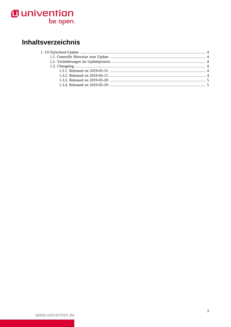# **O** univention<br>be open.

## Inhaltsverzeichnis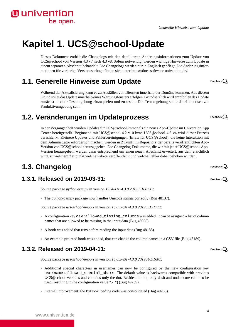#### *Generelle Hinweise zum Update*

# <span id="page-3-0"></span>**Kapitel 1. UCS@school-Update**

Dieses Dokument enthält die Changelogs mit den detaillierten Änderungsinformationen zum Update von UCS@school von Version 4.3 v7 nach 4.3 v8. Sofern notwendig, werden wichtige Hinweise zum Update in einem separaten Abschnitt behandelt. Die Changelogs werden nur in Englisch gepflegt. Die Änderungsinformationen für vorherige Versionssprünge finden sich unter [https://docs.software-univention.de/.](https://docs.software-univention.de/)

### <span id="page-3-1"></span>**1.1. Generelle Hinweise zum Update**

Während der Aktualisierung kann es zu Ausfällen von Diensten innerhalb der Domäne kommen. Aus diesem Grund sollte das Update innerhalb eines Wartungsfensters erfolgen. Grundsätzlich wird empfohlen das Update zunächst in einer Testumgebung einzuspielen und zu testen. Die Testumgebung sollte dabei identisch zur Produktivumgebung sein.

### <span id="page-3-2"></span>**1.2. Veränderungen im Updateprozess**

In der Vergangenheit wurden Updates für UCS@school immer als ein neues App-Update im Univention App Center bereitgestellt. Beginnend mit UCS@school 4.2 v10 bzw. UCS@school 4.3 v4 wird dieser Prozess verschlankt. Kleinere Updates und Fehlerbereinigungen (Errata für UCS@school), die keine Interaktion mit dem Administrator erforderlich machen, werden in Zukunft im Repository der bereits veröffentlichten App-Version von UCS@school herausgegeben. Die Changelog-Dokumente, die wir mit jeder UCS@school-App-Version herausgeben, werden dann entsprechend um einen neuen Abschnitt erweitert, aus dem ersichtlich wird, zu welchem Zeitpunkt welche Pakete veröffentlicht und welche Fehler dabei behoben wurden.

## <span id="page-3-3"></span>**1.3. Changelog**

**O** univention

be open.

#### <span id="page-3-4"></span>**1.3.1. Released on 2019-03-31:**

Source package *python-pampy* in version *1.8.4-1A~4.3.0.201903160731*:

◦ The python-pampy package now handles Unicode strings correctly ([Bug 48137\)](https://forge.univention.org/bugzilla/show_bug.cgi?id=48137).

Source package *ucs-school-import* in version *16.0.3-6A~4.3.0.201903131712*:

- A configuration key csv:allowed\_missing\_columns was added. It can be assigned a list of column names that are allowed to be missing in the input data ([Bug 48655\)](https://forge.univention.org/bugzilla/show_bug.cgi?id=48655).
- A hook was added that runs before reading the input data [\(Bug 48188\)](https://forge.univention.org/bugzilla/show_bug.cgi?id=48188).
- An example pre-read hook was added, that can change the column names in a CSV file [\(Bug 48189\)](https://forge.univention.org/bugzilla/show_bug.cgi?id=48189).

#### <span id="page-3-5"></span>**1.3.2. Released on 2019-04-11:**

Source package *ucs-school-import* in version *16.0.3-9A~4.3.0.201904091601*:

- Additional special characters in usernames can now be configured by the new configuration key username:allowed\_special\_chars. The default value is backwards compatible with previous UCS@school versions and contains only the dot. Besides the dot, only dash and underscore can also be used (resulting in the configuration value ".-\_") [\(Bug 49259](https://forge.univention.org/bugzilla/show_bug.cgi?id=49259)).
- Internal improvement: the PyHook loading code was consolidated [\(Bug 49268](https://forge.univention.org/bugzilla/show_bug.cgi?id=49268)).

Feedback $\Omega$ 

Feedback $\Omega$ 

Feedback $\bigcirc$ 

Feedback $\mathcal Q$ 

Feedback $\Omega$ 

4